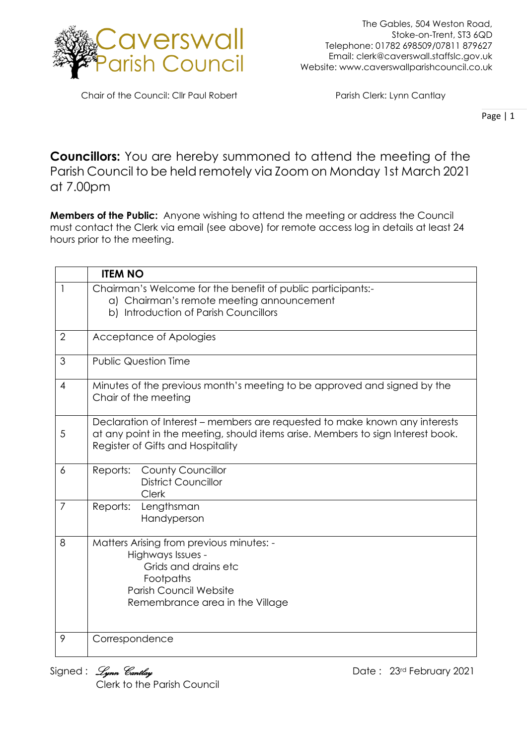

Chair of the Council: Cllr Paul Robert Parish Clerk: Lynn Cantlay

Page | 1

**Councillors:** You are hereby summoned to attend the meeting of the Parish Council to be held remotely via Zoom on Monday 1st March 2021 at 7.00pm

**Members of the Public:** Anyone wishing to attend the meeting or address the Council must contact the Clerk via email (see above) for remote access log in details at least 24 hours prior to the meeting.

|                | <b>ITEM NO</b>                                                                                                                                                                                      |
|----------------|-----------------------------------------------------------------------------------------------------------------------------------------------------------------------------------------------------|
| 1              | Chairman's Welcome for the benefit of public participants:-<br>a) Chairman's remote meeting announcement<br>b) Introduction of Parish Councillors                                                   |
| $\overline{2}$ | Acceptance of Apologies                                                                                                                                                                             |
| 3              | <b>Public Question Time</b>                                                                                                                                                                         |
| 4              | Minutes of the previous month's meeting to be approved and signed by the<br>Chair of the meeting                                                                                                    |
| 5              | Declaration of Interest – members are requested to make known any interests<br>at any point in the meeting, should items arise. Members to sign Interest book.<br>Register of Gifts and Hospitality |
| 6              | Reports:<br><b>County Councillor</b><br><b>District Councillor</b><br><b>Clerk</b>                                                                                                                  |
| $\overline{7}$ | Reports:<br>Lengthsman<br>Handyperson                                                                                                                                                               |
| 8              | Matters Arising from previous minutes: -<br>Highways Issues -<br>Grids and drains etc<br>Footpaths<br><b>Parish Council Website</b><br>Remembrance area in the Village                              |
| 9              | Correspondence                                                                                                                                                                                      |

Clerk to the Parish Council

Signed : *Lynn Cantlay* **Example 3** and the set of the Date : 23<sup>rd</sup> February 2021